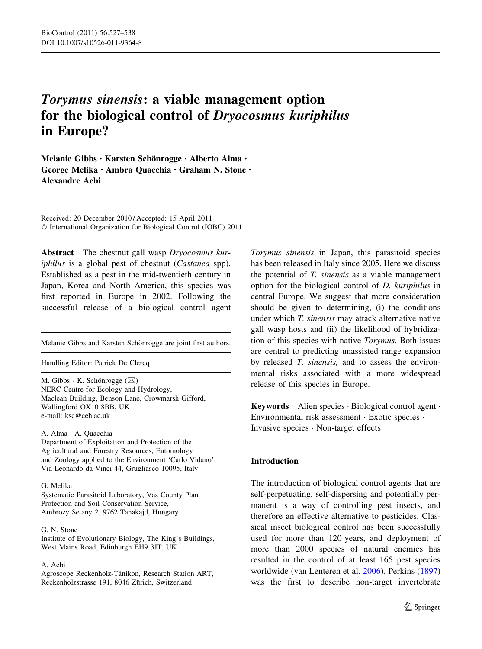# Torymus sinensis: a viable management option for the biological control of Dryocosmus kuriphilus in Europe?

Melanie Gibbs • Karsten Schönrogge • Alberto Alma • George Melika • Ambra Quacchia • Graham N. Stone • Alexandre Aebi

Received: 20 December 2010 / Accepted: 15 April 2011 - International Organization for Biological Control (IOBC) 2011

Abstract The chestnut gall wasp Dryocosmus kuriphilus is a global pest of chestnut (Castanea spp). Established as a pest in the mid-twentieth century in Japan, Korea and North America, this species was first reported in Europe in 2002. Following the successful release of a biological control agent

Melanie Gibbs and Karsten Schönrogge are joint first authors.

Handling Editor: Patrick De Clercq

M. Gibbs  $\cdot$  K. Schönrogge ( $\boxtimes$ ) NERC Centre for Ecology and Hydrology, Maclean Building, Benson Lane, Crowmarsh Gifford, Wallingford OX10 8BB, UK e-mail: ksc@ceh.ac.uk

A. Alma - A. Quacchia

Department of Exploitation and Protection of the Agricultural and Forestry Resources, Entomology and Zoology applied to the Environment 'Carlo Vidano', Via Leonardo da Vinci 44, Grugliasco 10095, Italy

#### G. Melika

Systematic Parasitoid Laboratory, Vas County Plant Protection and Soil Conservation Service, Ambrozy Setany 2, 9762 Tanakajd, Hungary

G. N. Stone

Institute of Evolutionary Biology, The King's Buildings, West Mains Road, Edinburgh EH9 3JT, UK

#### A. Aebi

Agroscope Reckenholz-Tänikon, Research Station ART, Reckenholzstrasse 191, 8046 Zürich, Switzerland

Torymus sinensis in Japan, this parasitoid species has been released in Italy since 2005. Here we discuss the potential of T. sinensis as a viable management option for the biological control of D. kuriphilus in central Europe. We suggest that more consideration should be given to determining, (i) the conditions under which T. sinensis may attack alternative native gall wasp hosts and (ii) the likelihood of hybridization of this species with native Torymus. Both issues are central to predicting unassisted range expansion by released T. sinensis, and to assess the environmental risks associated with a more widespread release of this species in Europe.

Keywords Alien species · Biological control agent · Environmental risk assessment · Exotic species · Invasive species - Non-target effects

## Introduction

The introduction of biological control agents that are self-perpetuating, self-dispersing and potentially permanent is a way of controlling pest insects, and therefore an effective alternative to pesticides. Classical insect biological control has been successfully used for more than 120 years, and deployment of more than 2000 species of natural enemies has resulted in the control of at least 165 pest species worldwide (van Lenteren et al. [2006](#page-10-0)). Perkins [\(1897\)](#page-10-0) was the first to describe non-target invertebrate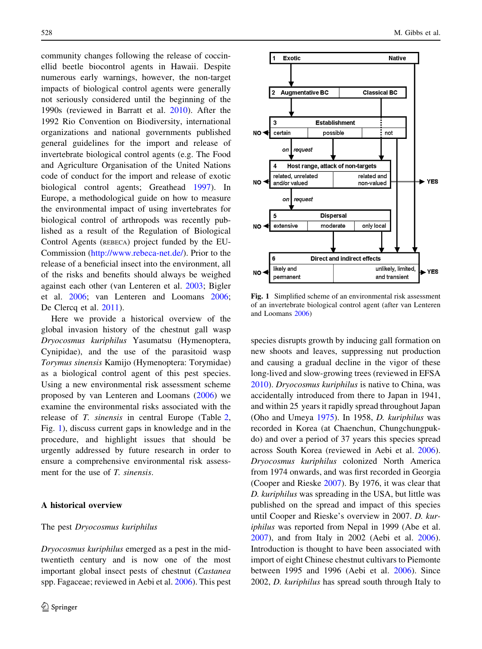<span id="page-1-0"></span>community changes following the release of coccinellid beetle biocontrol agents in Hawaii. Despite numerous early warnings, however, the non-target impacts of biological control agents were generally not seriously considered until the beginning of the 1990s (reviewed in Barratt et al. [2010](#page-9-0)). After the 1992 Rio Convention on Biodiversity, international organizations and national governments published general guidelines for the import and release of invertebrate biological control agents (e.g. The Food and Agriculture Organisation of the United Nations code of conduct for the import and release of exotic biological control agents; Greathead [1997](#page-9-0)). In Europe, a methodological guide on how to measure the environmental impact of using invertebrates for biological control of arthropods was recently published as a result of the Regulation of Biological Control Agents (REBECA) project funded by the EU-Commission [\(http://www.rebeca-net.de/](http://www.rebeca-net.de/)). Prior to the release of a beneficial insect into the environment, all of the risks and benefits should always be weighed against each other (van Lenteren et al. [2003;](#page-10-0) Bigler et al. [2006](#page-9-0); van Lenteren and Loomans [2006](#page-10-0); De Clercq et al. [2011](#page-9-0)).

Here we provide a historical overview of the global invasion history of the chestnut gall wasp Dryocosmus kuriphilus Yasumatsu (Hymenoptera, Cynipidae), and the use of the parasitoid wasp Torymus sinensis Kamijo (Hymenoptera: Torymidae) as a biological control agent of this pest species. Using a new environmental risk assessment scheme proposed by van Lenteren and Loomans [\(2006](#page-10-0)) we examine the environmental risks associated with the release of T. sinensis in central Europe (Table [2,](#page-4-0) Fig. 1), discuss current gaps in knowledge and in the procedure, and highlight issues that should be urgently addressed by future research in order to ensure a comprehensive environmental risk assessment for the use of T. sinensis.

## A historical overview

## The pest Dryocosmus kuriphilus

Dryocosmus kuriphilus emerged as a pest in the midtwentieth century and is now one of the most important global insect pests of chestnut (Castanea spp. Fagaceae; reviewed in Aebi et al. [2006](#page-9-0)). This pest



Fig. 1 Simplified scheme of an environmental risk assessment of an invertebrate biological control agent (after van Lenteren and Loomans [2006](#page-10-0))

species disrupts growth by inducing gall formation on new shoots and leaves, suppressing nut production and causing a gradual decline in the vigor of these long-lived and slow-growing trees (reviewed in EFSA [2010\)](#page-9-0). Dryocosmus kuriphilus is native to China, was accidentally introduced from there to Japan in 1941, and within 25 years it rapidly spread throughout Japan (Oho and Umeya [1975\)](#page-10-0). In 1958, D. kuriphilus was recorded in Korea (at Chaenchun, Chungchungpukdo) and over a period of 37 years this species spread across South Korea (reviewed in Aebi et al. [2006](#page-9-0)). Dryocosmus kuriphilus colonized North America from 1974 onwards, and was first recorded in Georgia (Cooper and Rieske [2007\)](#page-9-0). By 1976, it was clear that D. kuriphilus was spreading in the USA, but little was published on the spread and impact of this species until Cooper and Rieske's overview in 2007. D. kuriphilus was reported from Nepal in 1999 (Abe et al. [2007\)](#page-9-0), and from Italy in 2002 (Aebi et al. [2006](#page-9-0)). Introduction is thought to have been associated with import of eight Chinese chestnut cultivars to Piemonte between 1995 and 1996 (Aebi et al. [2006](#page-9-0)). Since 2002, D. kuriphilus has spread south through Italy to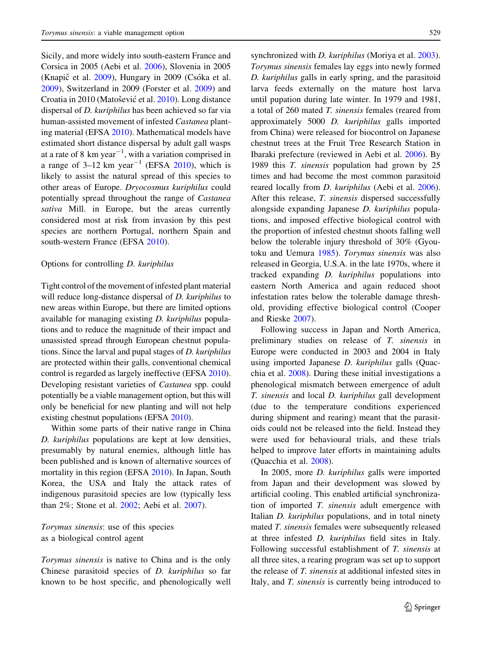Sicily, and more widely into south-eastern France and Corsica in 2005 (Aebi et al. [2006](#page-9-0)), Slovenia in 2005 (Knapič et al.  $2009$ ), Hungary in 2009 (Csóka et al. [2009\)](#page-9-0), Switzerland in 2009 (Forster et al. [2009\)](#page-9-0) and Croatia in [2010](#page-10-0) (Matošević et al. 2010). Long distance dispersal of D. kuriphilus has been achieved so far via human-assisted movement of infested Castanea planting material (EFSA [2010\)](#page-9-0). Mathematical models have estimated short distance dispersal by adult gall wasps at a rate of 8  $km$  year<sup> $-1$ </sup>, with a variation comprised in a range of  $3-12$  km year<sup>-1</sup> (EFSA [2010](#page-9-0)), which is likely to assist the natural spread of this species to other areas of Europe. Dryocosmus kuriphilus could potentially spread throughout the range of Castanea sativa Mill. in Europe, but the areas currently considered most at risk from invasion by this pest species are northern Portugal, northern Spain and south-western France (EFSA [2010\)](#page-9-0).

## Options for controlling D. kuriphilus

Tight control of the movement of infested plant material will reduce long-distance dispersal of D. kuriphilus to new areas within Europe, but there are limited options available for managing existing D. kuriphilus populations and to reduce the magnitude of their impact and unassisted spread through European chestnut populations. Since the larval and pupal stages of D. kuriphilus are protected within their galls, conventional chemical control is regarded as largely ineffective (EFSA [2010](#page-9-0)). Developing resistant varieties of Castanea spp. could potentially be a viable management option, but this will only be beneficial for new planting and will not help existing chestnut populations (EFSA [2010\)](#page-9-0).

Within some parts of their native range in China D. kuriphilus populations are kept at low densities, presumably by natural enemies, although little has been published and is known of alternative sources of mortality in this region (EFSA [2010\)](#page-9-0). In Japan, South Korea, the USA and Italy the attack rates of indigenous parasitoid species are low (typically less than 2%; Stone et al. [2002;](#page-10-0) Aebi et al. [2007](#page-9-0)).

# Torymus sinensis: use of this species as a biological control agent

Torymus sinensis is native to China and is the only Chinese parasitoid species of D. kuriphilus so far known to be host specific, and phenologically well synchronized with *D. kuriphilus* (Moriya et al. [2003](#page-10-0)). Torymus sinensis females lay eggs into newly formed D. kuriphilus galls in early spring, and the parasitoid larva feeds externally on the mature host larva until pupation during late winter. In 1979 and 1981, a total of 260 mated T. sinensis females (reared from approximately 5000 D. kuriphilus galls imported from China) were released for biocontrol on Japanese chestnut trees at the Fruit Tree Research Station in Ibaraki prefecture (reviewed in Aebi et al. [2006\)](#page-9-0). By 1989 this T. sinensis population had grown by 25 times and had become the most common parasitoid reared locally from *D. kuriphilus* (Aebi et al. [2006](#page-9-0)). After this release, T. sinensis dispersed successfully alongside expanding Japanese D. kuriphilus populations, and imposed effective biological control with the proportion of infested chestnut shoots falling well below the tolerable injury threshold of 30% (Gyoutoku and Uemura [1985\)](#page-9-0). Torymus sinensis was also released in Georgia, U.S.A. in the late 1970s, where it tracked expanding D. kuriphilus populations into eastern North America and again reduced shoot infestation rates below the tolerable damage threshold, providing effective biological control (Cooper and Rieske [2007](#page-9-0)).

Following success in Japan and North America, preliminary studies on release of T. sinensis in Europe were conducted in 2003 and 2004 in Italy using imported Japanese *D. kuriphilus* galls (Quacchia et al. [2008](#page-10-0)). During these initial investigations a phenological mismatch between emergence of adult T. sinensis and local D. kuriphilus gall development (due to the temperature conditions experienced during shipment and rearing) meant that the parasitoids could not be released into the field. Instead they were used for behavioural trials, and these trials helped to improve later efforts in maintaining adults (Quacchia et al. [2008](#page-10-0)).

In 2005, more D. kuriphilus galls were imported from Japan and their development was slowed by artificial cooling. This enabled artificial synchronization of imported T. sinensis adult emergence with Italian D. kuriphilus populations, and in total ninety mated T. sinensis females were subsequently released at three infested D. kuriphilus field sites in Italy. Following successful establishment of T. sinensis at all three sites, a rearing program was set up to support the release of T. sinensis at additional infested sites in Italy, and T. sinensis is currently being introduced to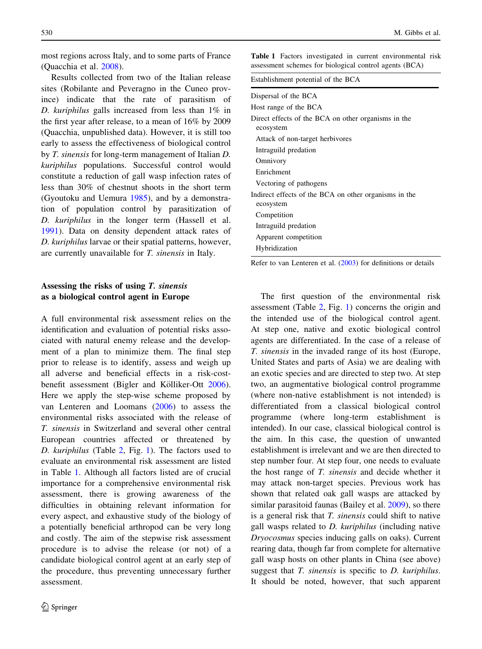<span id="page-3-0"></span>most regions across Italy, and to some parts of France (Quacchia et al. [2008\)](#page-10-0).

Results collected from two of the Italian release sites (Robilante and Peveragno in the Cuneo province) indicate that the rate of parasitism of D. kuriphilus galls increased from less than 1% in the first year after release, to a mean of 16% by 2009 (Quacchia, unpublished data). However, it is still too early to assess the effectiveness of biological control by T. sinensis for long-term management of Italian D. kuriphilus populations. Successful control would constitute a reduction of gall wasp infection rates of less than 30% of chestnut shoots in the short term (Gyoutoku and Uemura [1985\)](#page-9-0), and by a demonstration of population control by parasitization of D. kuriphilus in the longer term (Hassell et al. [1991\)](#page-10-0). Data on density dependent attack rates of D. kuriphilus larvae or their spatial patterns, however, are currently unavailable for T. sinensis in Italy.

## Assessing the risks of using T. sinensis as a biological control agent in Europe

A full environmental risk assessment relies on the identification and evaluation of potential risks associated with natural enemy release and the development of a plan to minimize them. The final step prior to release is to identify, assess and weigh up all adverse and beneficial effects in a risk-cost-benefit assessment (Bigler and Kölliker-Ott [2006](#page-9-0)). Here we apply the step-wise scheme proposed by van Lenteren and Loomans [\(2006](#page-10-0)) to assess the environmental risks associated with the release of T. sinensis in Switzerland and several other central European countries affected or threatened by D. kuriphilus (Table [2,](#page-4-0) Fig. [1\)](#page-1-0). The factors used to evaluate an environmental risk assessment are listed in Table 1. Although all factors listed are of crucial importance for a comprehensive environmental risk assessment, there is growing awareness of the difficulties in obtaining relevant information for every aspect, and exhaustive study of the biology of a potentially beneficial arthropod can be very long and costly. The aim of the stepwise risk assessment procedure is to advise the release (or not) of a candidate biological control agent at an early step of the procedure, thus preventing unnecessary further assessment.

Table 1 Factors investigated in current environmental risk assessment schemes for biological control agents (BCA)

| Establishment potential of the BCA                                 |
|--------------------------------------------------------------------|
| Dispersal of the BCA                                               |
| Host range of the BCA                                              |
| Direct effects of the BCA on other organisms in the<br>ecosystem   |
| Attack of non-target herbivores                                    |
| Intraguild predation                                               |
| Omnivory                                                           |
| Enrichment                                                         |
| Vectoring of pathogens                                             |
| Indirect effects of the BCA on other organisms in the<br>ecosystem |
| Competition                                                        |
| Intraguild predation                                               |
| Apparent competition                                               |
| Hybridization                                                      |

Refer to van Lenteren et al. [\(2003](#page-10-0)) for definitions or details

The first question of the environmental risk assessment (Table [2](#page-4-0), Fig. [1](#page-1-0)) concerns the origin and the intended use of the biological control agent. At step one, native and exotic biological control agents are differentiated. In the case of a release of T. sinensis in the invaded range of its host (Europe, United States and parts of Asia) we are dealing with an exotic species and are directed to step two. At step two, an augmentative biological control programme (where non-native establishment is not intended) is differentiated from a classical biological control programme (where long-term establishment is intended). In our case, classical biological control is the aim. In this case, the question of unwanted establishment is irrelevant and we are then directed to step number four. At step four, one needs to evaluate the host range of T. sinensis and decide whether it may attack non-target species. Previous work has shown that related oak gall wasps are attacked by similar parasitoid faunas (Bailey et al. [2009](#page-9-0)), so there is a general risk that  $T$ . sinensis could shift to native gall wasps related to D. kuriphilus (including native Dryocosmus species inducing galls on oaks). Current rearing data, though far from complete for alternative gall wasp hosts on other plants in China (see above) suggest that T. sinensis is specific to D. kuriphilus. It should be noted, however, that such apparent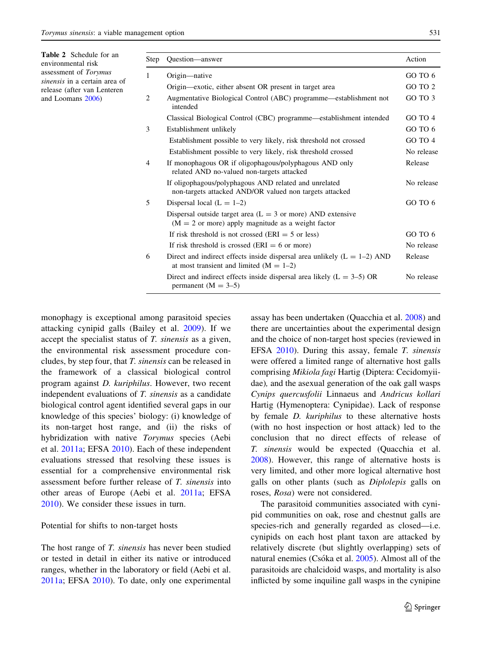<span id="page-4-0"></span>

| <b>Table 2</b> Schedule for an<br>Step<br>environmental risk  | Question—answer                                                                                                         | Action     |
|---------------------------------------------------------------|-------------------------------------------------------------------------------------------------------------------------|------------|
| assessment of Torymus<br><i>sinensis</i> in a certain area of | Origin-native                                                                                                           | GO TO 6    |
| release (after van Lenteren                                   | Origin—exotic, either absent OR present in target area                                                                  | GO TO 2    |
| 2<br>and Loomans 2006)                                        | Augmentative Biological Control (ABC) programme-establishment not<br>intended                                           | GO TO 3    |
|                                                               | Classical Biological Control (CBC) programme—establishment intended                                                     | GO TO 4    |
| 3                                                             | Establishment unlikely                                                                                                  | GO TO 6    |
|                                                               | Establishment possible to very likely, risk threshold not crossed                                                       | GO TO 4    |
|                                                               | Establishment possible to very likely, risk threshold crossed                                                           | No release |
| $\overline{4}$                                                | If monophagous OR if oligophagous/polyphagous AND only<br>related AND no-valued non-targets attacked                    | Release    |
|                                                               | If oligophagous/polyphagous AND related and unrelated<br>non-targets attacked AND/OR valued non targets attacked        | No release |
| 5                                                             | Dispersal local $(L = 1-2)$                                                                                             | GO TO 6    |
|                                                               | Dispersal outside target area ( $L = 3$ or more) AND extensive<br>$(M = 2$ or more) apply magnitude as a weight factor  |            |
|                                                               | If risk threshold is not crossed ( $ERI = 5$ or less)                                                                   | GO TO 6    |
|                                                               | If risk threshold is crossed (ERI $= 6$ or more)                                                                        | No release |
| 6                                                             | Direct and indirect effects inside dispersal area unlikely $(L = 1-2)$ AND<br>at most transient and limited $(M = 1-2)$ | Release    |
|                                                               | Direct and indirect effects inside dispersal area likely $(L = 3-5)$ OR<br>permanent $(M = 3-5)$                        | No release |

monophagy is exceptional among parasitoid species attacking cynipid galls (Bailey et al. [2009](#page-9-0)). If we accept the specialist status of T. sinensis as a given, the environmental risk assessment procedure concludes, by step four, that T. sinensis can be released in the framework of a classical biological control program against D. kuriphilus. However, two recent independent evaluations of T. sinensis as a candidate biological control agent identified several gaps in our knowledge of this species' biology: (i) knowledge of its non-target host range, and (ii) the risks of hybridization with native Torymus species (Aebi et al. [2011a](#page-9-0); EFSA [2010\)](#page-9-0). Each of these independent evaluations stressed that resolving these issues is essential for a comprehensive environmental risk assessment before further release of T. sinensis into other areas of Europe (Aebi et al. [2011a](#page-9-0); EFSA [2010\)](#page-9-0). We consider these issues in turn.

## Potential for shifts to non-target hosts

The host range of T. sinensis has never been studied or tested in detail in either its native or introduced ranges, whether in the laboratory or field (Aebi et al. [2011a](#page-9-0); EFSA [2010\)](#page-9-0). To date, only one experimental assay has been undertaken (Quacchia et al. [2008\)](#page-10-0) and there are uncertainties about the experimental design and the choice of non-target host species (reviewed in EFSA [2010\)](#page-9-0). During this assay, female T. sinensis were offered a limited range of alternative host galls comprising Mikiola fagi Hartig (Diptera: Cecidomyiidae), and the asexual generation of the oak gall wasps Cynips quercusfolii Linnaeus and Andricus kollari Hartig (Hymenoptera: Cynipidae). Lack of response by female D. kuriphilus to these alternative hosts (with no host inspection or host attack) led to the conclusion that no direct effects of release of T. sinensis would be expected (Quacchia et al. [2008\)](#page-10-0). However, this range of alternative hosts is very limited, and other more logical alternative host galls on other plants (such as Diplolepis galls on roses, Rosa) were not considered.

The parasitoid communities associated with cynipid communities on oak, rose and chestnut galls are species-rich and generally regarded as closed—i.e. cynipids on each host plant taxon are attacked by relatively discrete (but slightly overlapping) sets of natural enemies (Csóka et al. [2005\)](#page-9-0). Almost all of the parasitoids are chalcidoid wasps, and mortality is also inflicted by some inquiline gall wasps in the cynipine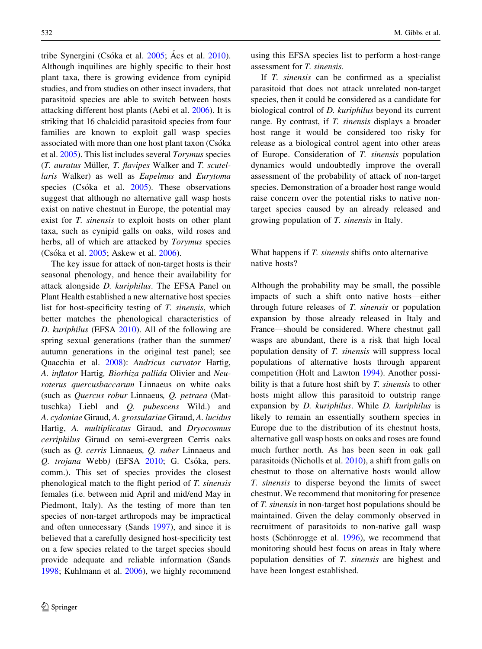tribe Synergini (Csóka et al.  $2005$ ; Ács et al.  $2010$ ). Although inquilines are highly specific to their host plant taxa, there is growing evidence from cynipid studies, and from studies on other insect invaders, that parasitoid species are able to switch between hosts attacking different host plants (Aebi et al. [2006\)](#page-9-0). It is striking that 16 chalcidid parasitoid species from four families are known to exploit gall wasp species associated with more than one host plant taxon (Csóka et al. [2005](#page-9-0)). This list includes several Torymus species  $(T.$  auratus Müller,  $T.$  flavipes Walker and  $T.$  scutellaris Walker) as well as Eupelmus and Eurytoma species (Csóka et al.  $2005$ ). These observations suggest that although no alternative gall wasp hosts exist on native chestnut in Europe, the potential may exist for T. sinensis to exploit hosts on other plant taxa, such as cynipid galls on oaks, wild roses and herbs, all of which are attacked by Torymus species (Csóka et al. [2005](#page-9-0); Askew et al. [2006](#page-9-0)).

The key issue for attack of non-target hosts is their seasonal phenology, and hence their availability for attack alongside D. kuriphilus. The EFSA Panel on Plant Health established a new alternative host species list for host-specificity testing of T. sinensis, which better matches the phenological characteristics of D. kuriphilus (EFSA [2010\)](#page-9-0). All of the following are spring sexual generations (rather than the summer/ autumn generations in the original test panel; see Quacchia et al. [2008\)](#page-10-0): Andricus curvator Hartig, A. inflator Hartig, Biorhiza pallida Olivier and Neuroterus quercusbaccarum Linnaeus on white oaks (such as Quercus robur Linnaeus, Q. petraea (Mattuschka) Liebl and Q. pubescens Wild.) and A. cydoniae Giraud, A. grossulariae Giraud, A. lucidus Hartig, A. multiplicatus Giraud, and Dryocosmus cerriphilus Giraud on semi-evergreen Cerris oaks (such as Q. cerris Linnaeus, Q. suber Linnaeus and Q. trojana Webb) (EFSA [2010;](#page-9-0) G. Csóka, pers. comm.). This set of species provides the closest phenological match to the flight period of T. sinensis females (i.e. between mid April and mid/end May in Piedmont, Italy). As the testing of more than ten species of non-target arthropods may be impractical and often unnecessary (Sands [1997](#page-10-0)), and since it is believed that a carefully designed host-specificity test on a few species related to the target species should provide adequate and reliable information (Sands [1998;](#page-10-0) Kuhlmann et al. [2006\)](#page-10-0), we highly recommend using this EFSA species list to perform a host-range assessment for T. sinensis.

If T. sinensis can be confirmed as a specialist parasitoid that does not attack unrelated non-target species, then it could be considered as a candidate for biological control of D. kuriphilus beyond its current range. By contrast, if T. sinensis displays a broader host range it would be considered too risky for release as a biological control agent into other areas of Europe. Consideration of T. sinensis population dynamics would undoubtedly improve the overall assessment of the probability of attack of non-target species. Demonstration of a broader host range would raise concern over the potential risks to native nontarget species caused by an already released and growing population of T. sinensis in Italy.

What happens if T. *sinensis* shifts onto alternative native hosts?

Although the probability may be small, the possible impacts of such a shift onto native hosts—either through future releases of T. sinensis or population expansion by those already released in Italy and France—should be considered. Where chestnut gall wasps are abundant, there is a risk that high local population density of T. sinensis will suppress local populations of alternative hosts through apparent competition (Holt and Lawton [1994\)](#page-10-0). Another possibility is that a future host shift by  $T$ . sinensis to other hosts might allow this parasitoid to outstrip range expansion by D. kuriphilus. While D. kuriphilus is likely to remain an essentially southern species in Europe due to the distribution of its chestnut hosts, alternative gall wasp hosts on oaks and roses are found much further north. As has been seen in oak gall parasitoids (Nicholls et al. [2010\)](#page-10-0), a shift from galls on chestnut to those on alternative hosts would allow T. sinensis to disperse beyond the limits of sweet chestnut. We recommend that monitoring for presence of T. sinensis in non-target host populations should be maintained. Given the delay commonly observed in recruitment of parasitoids to non-native gall wasp hosts (Schönrogge et al. [1996\)](#page-10-0), we recommend that monitoring should best focus on areas in Italy where population densities of T. sinensis are highest and have been longest established.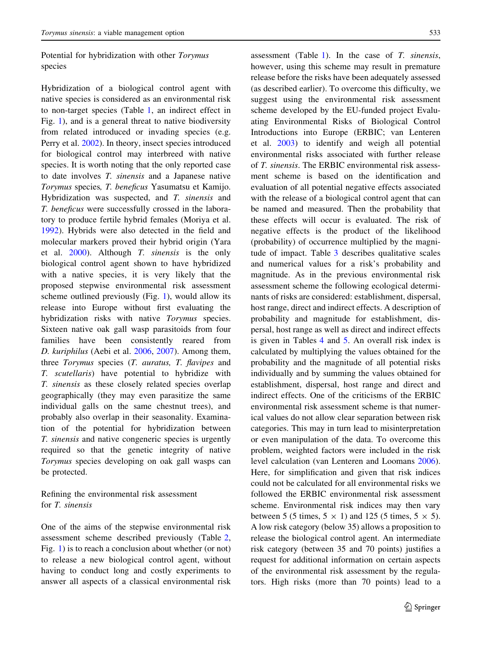Potential for hybridization with other Torymus species

Hybridization of a biological control agent with native species is considered as an environmental risk to non-target species (Table [1,](#page-3-0) an indirect effect in Fig. [1\)](#page-1-0), and is a general threat to native biodiversity from related introduced or invading species (e.g. Perry et al. [2002\)](#page-10-0). In theory, insect species introduced for biological control may interbreed with native species. It is worth noting that the only reported case to date involves T. sinensis and a Japanese native Torymus species, T. beneficus Yasumatsu et Kamijo. Hybridization was suspected, and T. sinensis and T. beneficus were successfully crossed in the laboratory to produce fertile hybrid females (Moriya et al. [1992\)](#page-10-0). Hybrids were also detected in the field and molecular markers proved their hybrid origin (Yara et al. [2000](#page-10-0)). Although T. sinensis is the only biological control agent shown to have hybridized with a native species, it is very likely that the proposed stepwise environmental risk assessment scheme outlined previously (Fig. [1\)](#page-1-0), would allow its release into Europe without first evaluating the hybridization risks with native Torymus species. Sixteen native oak gall wasp parasitoids from four families have been consistently reared from D. kuriphilus (Aebi et al. [2006](#page-9-0), [2007\)](#page-9-0). Among them, three Torymus species (T. auratus, T. flavipes and T. scutellaris) have potential to hybridize with T. sinensis as these closely related species overlap geographically (they may even parasitize the same individual galls on the same chestnut trees), and probably also overlap in their seasonality. Examination of the potential for hybridization between T. sinensis and native congeneric species is urgently required so that the genetic integrity of native Torymus species developing on oak gall wasps can be protected.

Refining the environmental risk assessment for T. sinensis

One of the aims of the stepwise environmental risk assessment scheme described previously (Table [2,](#page-4-0) Fig. [1\)](#page-1-0) is to reach a conclusion about whether (or not) to release a new biological control agent, without having to conduct long and costly experiments to answer all aspects of a classical environmental risk assessment (Table [1\)](#page-3-0). In the case of T. sinensis, however, using this scheme may result in premature release before the risks have been adequately assessed (as described earlier). To overcome this difficulty, we suggest using the environmental risk assessment scheme developed by the EU-funded project Evaluating Environmental Risks of Biological Control Introductions into Europe (ERBIC; van Lenteren et al. [2003\)](#page-10-0) to identify and weigh all potential environmental risks associated with further release of T. sinensis. The ERBIC environmental risk assessment scheme is based on the identification and evaluation of all potential negative effects associated with the release of a biological control agent that can be named and measured. Then the probability that these effects will occur is evaluated. The risk of negative effects is the product of the likelihood (probability) of occurrence multiplied by the magnitude of impact. Table [3](#page-7-0) describes qualitative scales and numerical values for a risk's probability and magnitude. As in the previous environmental risk assessment scheme the following ecological determinants of risks are considered: establishment, dispersal, host range, direct and indirect effects. A description of probability and magnitude for establishment, dispersal, host range as well as direct and indirect effects is given in Tables [4](#page-7-0) and [5.](#page-8-0) An overall risk index is calculated by multiplying the values obtained for the probability and the magnitude of all potential risks individually and by summing the values obtained for establishment, dispersal, host range and direct and indirect effects. One of the criticisms of the ERBIC environmental risk assessment scheme is that numerical values do not allow clear separation between risk categories. This may in turn lead to misinterpretation or even manipulation of the data. To overcome this problem, weighted factors were included in the risk level calculation (van Lenteren and Loomans [2006](#page-10-0)). Here, for simplification and given that risk indices could not be calculated for all environmental risks we followed the ERBIC environmental risk assessment scheme. Environmental risk indices may then vary between 5 (5 times,  $5 \times 1$ ) and 125 (5 times,  $5 \times 5$ ). A low risk category (below 35) allows a proposition to release the biological control agent. An intermediate risk category (between 35 and 70 points) justifies a request for additional information on certain aspects of the environmental risk assessment by the regulators. High risks (more than 70 points) lead to a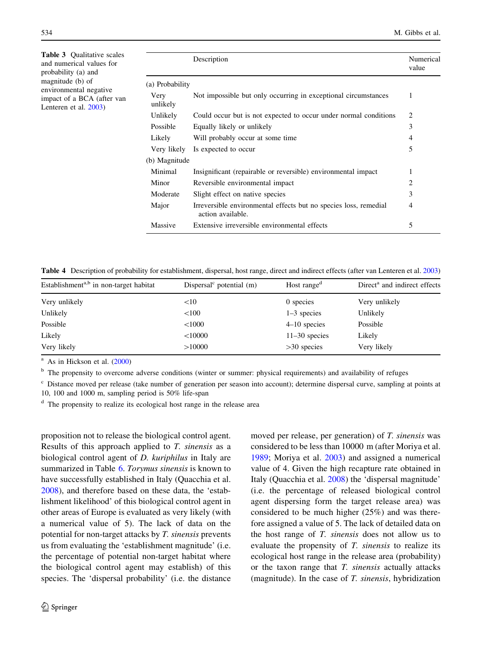<span id="page-7-0"></span>

| <b>Table 3</b> Oualitative scales<br>and numerical values for<br>probability (a) and<br>magnitude (b) of<br>environmental negative<br>impact of a BCA (after van<br>Lenteren et al. $2003$ ) |                         | Description                                                                           | Numerical<br>value |
|----------------------------------------------------------------------------------------------------------------------------------------------------------------------------------------------|-------------------------|---------------------------------------------------------------------------------------|--------------------|
|                                                                                                                                                                                              | (a) Probability<br>Very | Not impossible but only occurring in exceptional circumstances                        |                    |
|                                                                                                                                                                                              | unlikely                |                                                                                       |                    |
|                                                                                                                                                                                              | Unlikely                | Could occur but is not expected to occur under normal conditions                      | 2                  |
|                                                                                                                                                                                              | Possible                | Equally likely or unlikely                                                            | 3                  |
|                                                                                                                                                                                              | Likely                  | Will probably occur at some time                                                      | 4                  |
|                                                                                                                                                                                              | Very likely             | Is expected to occur                                                                  | 5                  |
|                                                                                                                                                                                              | (b) Magnitude           |                                                                                       |                    |
|                                                                                                                                                                                              | Minimal                 | Insignificant (repairable or reversible) environmental impact                         |                    |
|                                                                                                                                                                                              | Minor                   | Reversible environmental impact                                                       | 2                  |
|                                                                                                                                                                                              | Moderate                | Slight effect on native species                                                       | 3                  |
|                                                                                                                                                                                              | Major                   | Irreversible environmental effects but no species loss, remedial<br>action available. | 4                  |
|                                                                                                                                                                                              | Massive                 | Extensive irreversible environmental effects                                          | 5                  |

Table 4 Description of probability for establishment, dispersal, host range, direct and indirect effects (after van Lenteren et al. [2003](#page-10-0))

| Establishment <sup>a,b</sup> in non-target habitat | Dispersal $\text{°}$ potential (m) | Host range <sup>d</sup> | Direct <sup>a</sup> and indirect effects |
|----------------------------------------------------|------------------------------------|-------------------------|------------------------------------------|
| Very unlikely                                      | <10                                | 0 species               | Very unlikely                            |
| Unlikely                                           | < 100                              | $1-3$ species           | Unlikely                                 |
| Possible                                           | < 1000                             | $4-10$ species          | Possible                                 |
| Likely                                             | $<$ 10000                          | $11-30$ species         | Likely                                   |
| Very likely                                        | >10000                             | $>30$ species           | Very likely                              |

 $a$  As in Hickson et al.  $(2000)$  $(2000)$ 

<sup>b</sup> The propensity to overcome adverse conditions (winter or summer: physical requirements) and availability of refuges

<sup>c</sup> Distance moved per release (take number of generation per season into account); determine dispersal curve, sampling at points at 10, 100 and 1000 m, sampling period is 50% life-span

<sup>d</sup> The propensity to realize its ecological host range in the release area

proposition not to release the biological control agent. Results of this approach applied to T. sinensis as a biological control agent of D. kuriphilus in Italy are summarized in Table [6.](#page-8-0) Torymus sinensis is known to have successfully established in Italy (Quacchia et al. [2008\)](#page-10-0), and therefore based on these data, the 'establishment likelihood' of this biological control agent in other areas of Europe is evaluated as very likely (with a numerical value of 5). The lack of data on the potential for non-target attacks by T. sinensis prevents us from evaluating the 'establishment magnitude' (i.e. the percentage of potential non-target habitat where the biological control agent may establish) of this species. The 'dispersal probability' (i.e. the distance moved per release, per generation) of T. sinensis was considered to be less than 10000 m (after Moriya et al. [1989;](#page-10-0) Moriya et al. [2003\)](#page-10-0) and assigned a numerical value of 4. Given the high recapture rate obtained in Italy (Quacchia et al. [2008](#page-10-0)) the 'dispersal magnitude' (i.e. the percentage of released biological control agent dispersing form the target release area) was considered to be much higher (25%) and was therefore assigned a value of 5. The lack of detailed data on the host range of T. sinensis does not allow us to evaluate the propensity of T. sinensis to realize its ecological host range in the release area (probability) or the taxon range that T. sinensis actually attacks (magnitude). In the case of  $T$ . sinensis, hybridization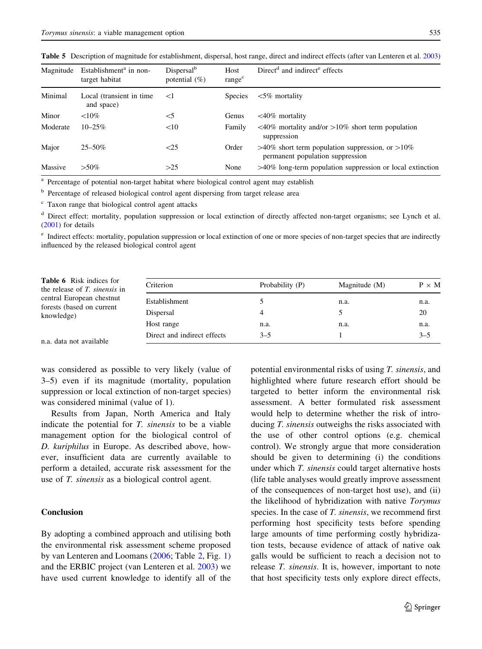<span id="page-8-0"></span>Table 5 Description of magnitude for establishment, dispersal, host range, direct and indirect effects (after van Lenteren et al. [2003](#page-10-0))

| Magnitude | Establishment <sup>a</sup> in non-<br>target habitat | Dispersal <sup>b</sup><br>potential $(\%)$ | Host<br>range <sup>c</sup> | $Directd$ and indirect <sup>e</sup> effects                                               |
|-----------|------------------------------------------------------|--------------------------------------------|----------------------------|-------------------------------------------------------------------------------------------|
| Minimal   | Local (transient in time<br>and space)               | $<$ 1                                      | <b>Species</b>             | $\leq 5\%$ mortality                                                                      |
| Minor     | ${<}10\%$                                            | $<$ 5                                      | Genus                      | $\leq 40\%$ mortality                                                                     |
| Moderate  | $10 - 25\%$                                          | <10                                        | Family                     | $\langle 40\%$ mortality and/or $>10\%$ short term population<br>suppression              |
| Major     | $25 - 50\%$                                          | $\leq$ 25                                  | Order                      | $>40\%$ short term population suppression, or $>10\%$<br>permanent population suppression |
| Massive   | $> 50\%$                                             | >25                                        | None                       | $>40\%$ long-term population suppression or local extinction                              |

<sup>a</sup> Percentage of potential non-target habitat where biological control agent may establish

<sup>b</sup> Percentage of released biological control agent dispersing from target release area

<sup>c</sup> Taxon range that biological control agent attacks

<sup>d</sup> Direct effect: mortality, population suppression or local extinction of directly affected non-target organisms; see Lynch et al. ([2001\)](#page-10-0) for details

<sup>e</sup> Indirect effects: mortality, population suppression or local extinction of one or more species of non-target species that are indirectly influenced by the released biological control agent

| <b>Table 6</b> Risk indices for<br>the release of T. sinensis in     | Criterion                   | Probability (P) | Magnitude (M) | $P \times M$ |
|----------------------------------------------------------------------|-----------------------------|-----------------|---------------|--------------|
| central European chestnut<br>forests (based on current<br>knowledge) | Establishment               |                 | n.a.          | n.a.         |
|                                                                      | Dispersal                   |                 | 5.            | 20           |
|                                                                      | Host range                  | n.a.            | n.a.          | n.a.         |
| n a-data not available.                                              | Direct and indirect effects | $3 - 5$         |               | $3 - 5$      |

n.a. data not available

was considered as possible to very likely (value of 3–5) even if its magnitude (mortality, population suppression or local extinction of non-target species) was considered minimal (value of 1).

Results from Japan, North America and Italy indicate the potential for T. sinensis to be a viable management option for the biological control of D. kuriphilus in Europe. As described above, however, insufficient data are currently available to perform a detailed, accurate risk assessment for the use of T. sinensis as a biological control agent.

## Conclusion

By adopting a combined approach and utilising both the environmental risk assessment scheme proposed by van Lenteren and Loomans ([2006;](#page-10-0) Table [2,](#page-4-0) Fig. [1\)](#page-1-0) and the ERBIC project (van Lenteren et al. [2003](#page-10-0)) we have used current knowledge to identify all of the potential environmental risks of using T. sinensis, and highlighted where future research effort should be targeted to better inform the environmental risk assessment. A better formulated risk assessment would help to determine whether the risk of introducing T. sinensis outweighs the risks associated with the use of other control options (e.g. chemical control). We strongly argue that more consideration should be given to determining (i) the conditions under which T. sinensis could target alternative hosts (life table analyses would greatly improve assessment of the consequences of non-target host use), and (ii) the likelihood of hybridization with native Torymus species. In the case of T. sinensis, we recommend first performing host specificity tests before spending large amounts of time performing costly hybridization tests, because evidence of attack of native oak galls would be sufficient to reach a decision not to release T. sinensis. It is, however, important to note that host specificity tests only explore direct effects,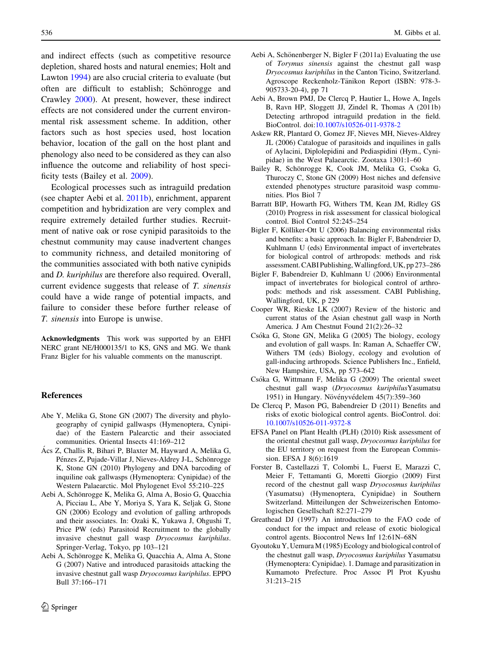<span id="page-9-0"></span>and indirect effects (such as competitive resource depletion, shared hosts and natural enemies; Holt and Lawton [1994\)](#page-10-0) are also crucial criteria to evaluate (but often are difficult to establish; Schönrogge and Crawley [2000\)](#page-10-0). At present, however, these indirect effects are not considered under the current environmental risk assessment scheme. In addition, other factors such as host species used, host location behavior, location of the gall on the host plant and phenology also need to be considered as they can also influence the outcome and reliability of host specificity tests (Bailey et al. 2009).

Ecological processes such as intraguild predation (see chapter Aebi et al. 2011b), enrichment, apparent competition and hybridization are very complex and require extremely detailed further studies. Recruitment of native oak or rose cynipid parasitoids to the chestnut community may cause inadvertent changes to community richness, and detailed monitoring of the communities associated with both native cynipids and D. kuriphilus are therefore also required. Overall, current evidence suggests that release of T. sinensis could have a wide range of potential impacts, and failure to consider these before further release of T. sinensis into Europe is unwise.

Acknowledgments This work was supported by an EHFI NERC grant NE/H000135/1 to KS, GNS and MG. We thank Franz Bigler for his valuable comments on the manuscript.

#### References

- Abe Y, Melika G, Stone GN (2007) The diversity and phylogeography of cynipid gallwasps (Hymenoptera, Cynipidae) of the Eastern Palearctic and their associated communities. Oriental Insects 41:169–212
- Ács Z, Challis R, Bihari P, Blaxter M, Hayward A, Melika G, Pénzes Z, Pujade-Villar J, Nieves-Aldrey J-L, Schönrogge K, Stone GN (2010) Phylogeny and DNA barcoding of inquiline oak gallwasps (Hymenoptera: Cynipidae) of the Western Palaearctic. Mol Phylogenet Evol 55:210–225
- Aebi A, Schönrogge K, Melika G, Alma A, Bosio G, Quacchia A, Picciau L, Abe Y, Moriya S, Yara K, Seljak G, Stone GN (2006) Ecology and evolution of galling arthropods and their associates. In: Ozaki K, Yukawa J, Ohgushi T, Price PW (eds) Parasitoid Recruitment to the globally invasive chestnut gall wasp Dryocosmus kuriphilus. Springer-Verlag, Tokyo, pp 103–121
- Aebi A, Schönrogge K, Melika G, Quacchia A, Alma A, Stone G (2007) Native and introduced parasitoids attacking the invasive chestnut gall wasp Dryocosmus kuriphilus. EPPO Bull 37:166–171
- Aebi A, Schönenberger N, Bigler F (2011a) Evaluating the use of Torymus sinensis against the chestnut gall wasp Dryocosmus kuriphilus in the Canton Ticino, Switzerland. Agroscope Reckenholz-Tänikon Report (ISBN: 978-3-905733-20-4), pp 71
- Aebi A, Brown PMJ, De Clercq P, Hautier L, Howe A, Ingels B, Ravn HP, Sloggett JJ, Zindel R, Thomas A (2011b) Detecting arthropod intraguild predation in the field. BioControl. doi[:10.1007/s10526-011-9378-2](http://dx.doi.org/10.1007/s10526-011-9378-2)
- Askew RR, Plantard O, Gomez JF, Nieves MH, Nieves-Aldrey JL (2006) Catalogue of parasitoids and inquilines in galls of Aylacini, Diplolepidini and Pediaspidini (Hym., Cynipidae) in the West Palaearctic. Zootaxa 1301:1–60
- Bailey R, Schönrogge K, Cook JM, Melika G, Csoka G, Thuroczy C, Stone GN (2009) Host niches and defensive extended phenotypes structure parasitoid wasp communities. Plos Biol 7
- Barratt BIP, Howarth FG, Withers TM, Kean JM, Ridley GS (2010) Progress in risk assessment for classical biological control. Biol Control 52:245–254
- Bigler F, Kölliker-Ott U (2006) Balancing environmental risks and benefits: a basic approach. In: Bigler F, Babendreier D, Kuhlmann U (eds) Environmental impact of invertebrates for biological control of arthropods: methods and risk assessment. CABI Publishing, Wallingford, UK, pp 273–286
- Bigler F, Babendreier D, Kuhlmann U (2006) Environmental impact of invertebrates for biological control of arthropods: methods and risk assessment. CABI Publishing, Wallingford, UK, p 229
- Cooper WR, Rieske LK (2007) Review of the historic and current status of the Asian chestnut gall wasp in North America. J Am Chestnut Found 21(2):26–32
- Csóka G, Stone GN, Melika G (2005) The biology, ecology and evolution of gall wasps. In: Raman A, Schaeffer CW, Withers TM (eds) Biology, ecology and evolution of gall-inducing arthropods. Science Publishers Inc., Enfield, New Hampshire, USA, pp 573–642
- Csóka G, Wittmann F, Melika G (2009) The oriental sweet chestnut gall wasp (Dryocosmus kuriphilusYasumatsu 1951) in Hungary. Növényvédelem 45(7):359–360
- De Clercq P, Mason PG, Babendreier D (2011) Benefits and risks of exotic biological control agents. BioControl. doi: [10.1007/s10526-011-9372-8](http://dx.doi.org/10.1007/s10526-011-9372-8)
- EFSA Panel on Plant Health (PLH) (2010) Risk assessment of the oriental chestnut gall wasp, Dryocosmus kuriphilus for the EU territory on request from the European Commission. EFSA J 8(6):1619
- Forster B, Castellazzi T, Colombi L, Fuerst E, Marazzi C, Meier F, Tettamanti G, Moretti Giorgio (2009) First record of the chestnut gall wasp Dryocosmus kuriphilus (Yasumatsu) (Hymenoptera, Cynipidae) in Southern Switzerland. Mitteilungen der Schweizerischen Entomologischen Gesellschaft 82:271–279
- Greathead DJ (1997) An introduction to the FAO code of conduct for the impact and release of exotic biological control agents. Biocontrol News Inf 12:61N–68N
- Gyoutoku Y, Uemura M (1985) Ecology and biological control of the chestnut gall wasp, Dryocosmus kuriphilus Yasumatsu (Hymenoptera: Cynipidae). 1. Damage and parasitization in Kumamoto Prefecture. Proc Assoc Pl Prot Kyushu 31:213–215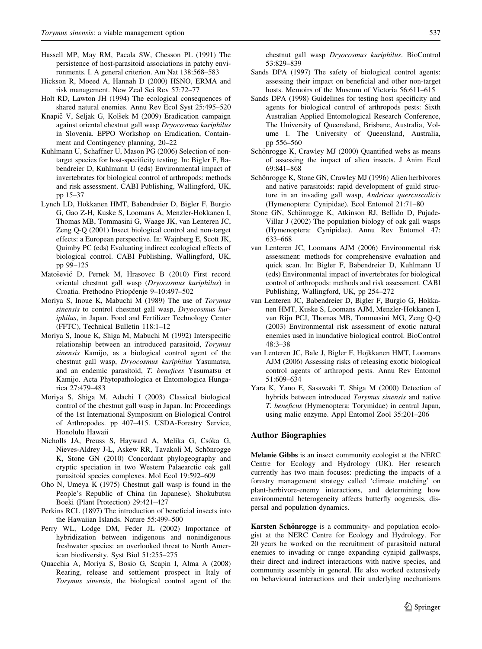- <span id="page-10-0"></span>Hassell MP, May RM, Pacala SW, Chesson PL (1991) The persistence of host-parasitoid associations in patchy environments. I. A general criterion. Am Nat 138:568–583
- Hickson R, Moeed A, Hannah D (2000) HSNO, ERMA and risk management. New Zeal Sci Rev 57:72–77
- Holt RD, Lawton JH (1994) The ecological consequences of shared natural enemies. Annu Rev Ecol Syst 25:495–520
- Knapič V, Seljak G, Kolšek M (2009) Eradication campaign against oriental chestnut gall wasp Dryocosmus kuriphilus in Slovenia. EPPO Workshop on Eradication, Containment and Contingency planning, 20–22
- Kuhlmann U, Schaffner U, Mason PG (2006) Selection of nontarget species for host-specificity testing. In: Bigler F, Babendreier D, Kuhlmann U (eds) Environmental impact of invertebrates for biological control of arthropods: methods and risk assessment. CABI Publishing, Wallingford, UK, pp 15–37
- Lynch LD, Hokkanen HMT, Babendreier D, Bigler F, Burgio G, Gao Z-H, Kuske S, Loomans A, Menzler-Hokkanen I, Thomas MB, Tommasini G, Waage JK, van Lenteren JC, Zeng Q-Q (2001) Insect biological control and non-target effects: a European perspective. In: Wajnberg E, Scott JK, Quimby PC (eds) Evaluating indirect ecological effects of biological control. CABI Publishing, Wallingford, UK, pp 99–125
- Matošević D, Pernek M, Hrasovec B (2010) First record oriental chestnut gall wasp (Dryocosmus kuriphilus) in Croatia. Prethodno Priopćenje 9–10:497–502
- Moriya S, Inoue K, Mabuchi M (1989) The use of Torymus sinensis to control chestnut gall wasp, Dryocosmus kuriphilus, in Japan. Food and Fertilizer Technology Center (FFTC), Technical Bulletin 118:1–12
- Moriya S, Inoue K, Shiga M, Mabuchi M (1992) Interspecific relationship between an introduced parasitoid, Torymus sinensis Kamijo, as a biological control agent of the chestnut gall wasp, Dryocosmus kuriphilus Yasumatsu, and an endemic parasitoid, T. benefices Yasumatsu et Kamijo. Acta Phytopathologica et Entomologica Hungarica 27:479–483
- Moriya S, Shiga M, Adachi I (2003) Classical biological control of the chestnut gall wasp in Japan. In: Proceedings of the 1st International Symposium on Biological Control of Arthropodes. pp 407–415. USDA-Forestry Service, Honolulu Hawaii
- Nicholls JA, Preuss S, Hayward A, Melika G, Csóka G, Nieves-Aldrey J-L, Askew RR, Tavakoli M, Schönrogge K, Stone GN (2010) Concordant phylogeography and cryptic speciation in two Western Palaearctic oak gall parasitoid species complexes. Mol Ecol 19:592–609
- Oho N, Umeya K (1975) Chestnut gall wasp is found in the People's Republic of China (in Japanese). Shokubutsu Boeki (Plant Protection) 29:421–427
- Perkins RCL (1897) The introduction of beneficial insects into the Hawaiian Islands. Nature 55:499–500
- Perry WL, Lodge DM, Feder JL (2002) Importance of hybridization between indigenous and nonindigenous freshwater species: an overlooked threat to North American biodiversity. Syst Biol 51:255–275
- Quacchia A, Moriya S, Bosio G, Scapin I, Alma A (2008) Rearing, release and settlement prospect in Italy of Torymus sinensis, the biological control agent of the

chestnut gall wasp Dryocosmus kuriphilus. BioControl 53:829–839

- Sands DPA (1997) The safety of biological control agents: assessing their impact on beneficial and other non-target hosts. Memoirs of the Museum of Victoria 56:611–615
- Sands DPA (1998) Guidelines for testing host specificity and agents for biological control of arthropods pests: Sixth Australian Applied Entomological Research Conference, The University of Queensland, Brisbane, Australia, Volume I. The University of Queensland, Australia, pp 556–560
- Schönrogge K, Crawley MJ (2000) Quantified webs as means of assessing the impact of alien insects. J Anim Ecol 69:841–868
- Schönrogge K, Stone GN, Crawley MJ (1996) Alien herbivores and native parasitoids: rapid development of guild structure in an invading gall wasp, Andricus quercuscalicis (Hymenoptera: Cynipidae). Ecol Entomol 21:71–80
- Stone GN, Schönrogge K, Atkinson RJ, Bellido D, Pujade-Villar J (2002) The population biology of oak gall wasps (Hymenoptera: Cynipidae). Annu Rev Entomol 47: 633–668
- van Lenteren JC, Loomans AJM (2006) Environmental risk assessment: methods for comprehensive evaluation and quick scan. In: Bigler F, Babendreier D, Kuhlmann U (eds) Environmental impact of invertebrates for biological control of arthropods: methods and risk assessment. CABI Publishing, Wallingford, UK, pp 254–272
- van Lenteren JC, Babendreier D, Bigler F, Burgio G, Hokkanen HMT, Kuske S, Loomans AJM, Menzler-Hokkanen I, van Rijn PCJ, Thomas MB, Tommasini MG, Zeng Q-Q (2003) Environmental risk assessment of exotic natural enemies used in inundative biological control. BioControl 48:3–38
- van Lenteren JC, Bale J, Bigler F, Hojkkanen HMT, Loomans AJM (2006) Assessing risks of releasing exotic biological control agents of arthropod pests. Annu Rev Entomol 51:609–634
- Yara K, Yano E, Sasawaki T, Shiga M (2000) Detection of hybrids between introduced Torymus sinensis and native T. beneficus (Hymenoptera: Torymidae) in central Japan, using malic enzyme. Appl Entomol Zool 35:201–206

### Author Biographies

Melanie Gibbs is an insect community ecologist at the NERC Centre for Ecology and Hydrology (UK). Her research currently has two main focuses: predicting the impacts of a forestry management strategy called 'climate matching' on plant-herbivore-enemy interactions, and determining how environmental heterogeneity affects butterfly oogenesis, dispersal and population dynamics.

Karsten Schönrogge is a community- and population ecologist at the NERC Centre for Ecology and Hydrology. For 20 years he worked on the recruitment of parasitoid natural enemies to invading or range expanding cynipid gallwasps, their direct and indirect interactions with native species, and community assembly in general. He also worked extensively on behavioural interactions and their underlying mechanisms